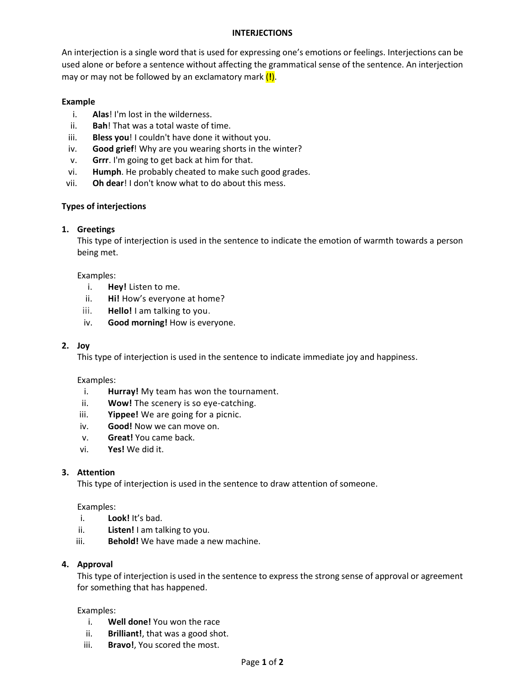## **INTERJECTIONS**

An interjection is a single word that is used for expressing one's emotions or feelings. Interjections can be used alone or before a sentence without affecting the grammatical sense of the sentence. An interjection may or may not be followed by an exclamatory mark (**!**).

## **Example**

- i. **Alas**! I'm lost in the wilderness.
- ii. **Bah**! That was a total waste of time.
- iii. **Bless you**! I couldn't have done it without you.
- iv. **Good grief**! Why are you wearing shorts in the winter?
- v. **Grrr**. I'm going to get back at him for that.
- vi. **Humph**. He probably cheated to make such good grades.
- vii. **Oh dear**! I don't know what to do about this mess.

## **Types of interjections**

## **1. Greetings**

This type of interjection is used in the sentence to indicate the emotion of warmth towards a person being met.

#### Examples:

- i. **Hey!** Listen to me.
- ii. **Hi!** How's everyone at home?
- iii. **Hello!** I am talking to you.
- iv. **Good morning!** How is everyone.

## **2. Joy**

This type of interjection is used in the sentence to indicate immediate joy and happiness.

#### Examples:

- i. **Hurray!** My team has won the tournament.
- ii. **Wow!** The scenery is so eye-catching.
- iii. **Yippee!** We are going for a picnic.
- iv. **Good!** Now we can move on.
- v. **Great!** You came back.
- vi. **Yes!** We did it.

## **3. Attention**

This type of interjection is used in the sentence to draw attention of someone.

## Examples:

- i. **Look!** It's bad.
- ii. **Listen!** I am talking to you.
- iii. **Behold!** We have made a new machine.

## **4. Approval**

This type of interjection is used in the sentence to express the strong sense of approval or agreement for something that has happened.

## Examples:

- i. **Well done!** You won the race
- ii. **Brilliant!**, that was a good shot.
- iii. **Bravo!**, You scored the most.